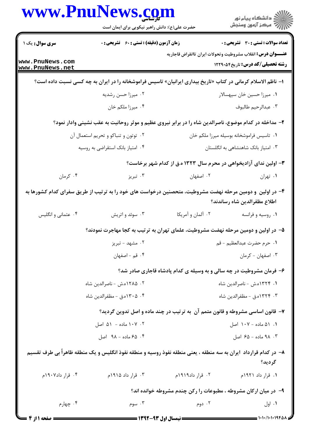|                                    | www.PnuNews.com<br>حضرت علی(ع): دانش راهبر نیکویی برای ایمان است                                                |                                                                               | ≦ دانشڪاه پيام نور<br>7- مرڪز آزمون وسنڊش    |
|------------------------------------|-----------------------------------------------------------------------------------------------------------------|-------------------------------------------------------------------------------|----------------------------------------------|
| <b>سری سوال :</b> یک ۱             | <b>زمان آزمون (دقیقه) : تستی : 60 ٪ تشریحی : 0</b>                                                              |                                                                               | <b>تعداد سوالات : تستی : 30 ٪ تشریحی : 0</b> |
| www.PnuNews.com<br>www.PnuNews.net |                                                                                                                 | <b>عنـــوان درس:</b> انقلاب مشروطيت وتحولات ايران تاانقراض قاجاريه            | <b>رشته تحصیلی/کد درس:</b> تاریخ2400 1229    |
|                                    | ا– ناظم الاسلام کرمانی در کتاب «تاریخ بیداری ایرانیان» تاسیس فراموشخانه را در ایران به چه کسی نسبت داده است؟    |                                                                               |                                              |
|                                    | ۰۲ میرزا حسن رشدیه                                                                                              |                                                                               | ٠١ ميرزا حسين خان سپهسالار                   |
|                                    | ۰۴ میرزا ملکم خان                                                                                               |                                                                               | ٠٣ عبدالرحيم طالبوف                          |
|                                    | ۲– مداخله در کدام موضوع، ناصرالدین شاه را در برابر نیروی عظیم و موثر روحانیت به عقب نشینی وادار نمود؟           |                                                                               |                                              |
|                                    | ۰۲ توتون و تنباکو و تحریم استعمال آن                                                                            |                                                                               | ٠١ تاسيس فراموشخانه بوسيله ميرزا ملكم خان    |
|                                    | ۰۴ امتیاز بانک استقراضی به روسیه                                                                                | ۰۳ امتیاز بانک شاهنشاهی به انگلستان                                           |                                              |
|                                    |                                                                                                                 | ۳- اولین ندای آزادیخواهی در محرم سال ۱۳۲۳ ه.ق از کدام شهر برخاست؟             |                                              |
| ۰۴ کرمان                           | ۰۳ تېريز                                                                                                        | ۰۲ اصفهان                                                                     | ۰۱ تهران                                     |
|                                    | ۴– در اولین ًو دومین مرحله نهضت مشروطیت، متحصنین درخواست های خود را به ترتیب از طریق سفرای کدام کشورها به       |                                                                               | اطلاع مظفرالدين شاه رساندند؟                 |
| ۰۴ عثماني و انگليس                 | ۰۳ سوئد و اتریش                                                                                                 | ۰۲ آلمان و آمريكا                                                             | ۰۱ روسیه و فرانسه                            |
|                                    | ۵– در اولین و دومین مرحله نهضت مشروطیت، علمای تهران به ترتیب به کجا مهاجرت نمودند؟                              |                                                                               |                                              |
|                                    | ۰۲ مشهد - تبریز                                                                                                 | ١. حرم حضرت عبدالعظيم - قم                                                    |                                              |
|                                    | ۰۴ قم - اصفهان                                                                                                  |                                                                               | ۰۳ اصفهان - کرمان                            |
|                                    |                                                                                                                 | ۶- فرمان مشروطیت در چه سالی و به وسیله ی کدام پادشاه قاجاری صادر شد؟          |                                              |
|                                    | ۰۲ ۱۲۸۵ه.ش - ناصرالدین شاه                                                                                      | ۰۱ ۱۳۲۴ه.ش - ناصرالدین شاه                                                    |                                              |
|                                    | ۰۴ ـ ۱۳۰۵ه.ق - مظفرالدين شاه                                                                                    |                                                                               | ۰۳ - ۱۳۲۴ه.ق – مظفرالدین شاه                 |
|                                    |                                                                                                                 | ۷- قانون اساسی مشروطه و قانون متمم آن به ترتیب در چند ماده و اصل تدوین گردید؟ |                                              |
|                                    | ۰۲ ۱۰۷ ماده - ۵۱ اصل                                                                                            |                                                                               | ۰۱ ۵۱ ماده - ۱۰۷ اصل                         |
|                                    | ۰۴ ه۶ ماده - ۹۸ اصل                                                                                             |                                                                               | ۰۳ . ۹۸ ماده - ۶۵ اصل                        |
|                                    | ۸– در کدام قرارداد ایران به سه منطقه ، یعنی منطقه نفوذ روسیه و منطقه نفوذ انگلیس و یک منطقه ظاهراً بی طرف تقسیم |                                                                               | گرديد؟                                       |
| ۰۴ قرار داد۱۹۰۷م                   | ۰۳ قرار داد ۱۹۱۵م                                                                                               | ۲. قرار داد۱۹۱۹م                                                              | ١. قرار داد ١٩٢١م                            |
|                                    |                                                                                                                 | ۹- در میان ارکان مشروطه ، مطبوعات را رکن چندم مشروطه خوانده اند؟              |                                              |
| ۰۴ چهارم                           | ۰۳ سوم                                                                                                          | ۰۲ دوم                                                                        | ۰۱ اول                                       |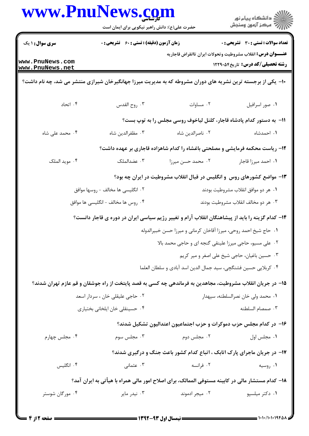|                                    | حضرت علی(ع): دانش راهبر نیکویی برای ایمان است                                                                |                                                                              | ِ<br>∭ دانشڪاه پيام نور<br>∭ مرڪز آزمون وسنڊش                                                                  |  |
|------------------------------------|--------------------------------------------------------------------------------------------------------------|------------------------------------------------------------------------------|----------------------------------------------------------------------------------------------------------------|--|
| <b>سری سوال :</b> ۱ یک             | زمان آزمون (دقیقه) : تستی : 60 - تشریحی : 0                                                                  |                                                                              | تعداد سوالات : تستي : 30 ٪ تشريحي : 0                                                                          |  |
| www.PnuNews.com<br>www.PnuNews.net |                                                                                                              |                                                                              | <b>عنــــوان درس:</b> انقلاب مشروطيت وتحولات ايران تاانقراض قاجاريه<br><b>رشته تحصیلی/کد درس:</b> تاریخ1۲۲۹۰۵۴ |  |
|                                    | +ا– یکی از برجسته ترین نشریه های دوران مشروطه که به مدیریت میرزا جهانگیرخان شیرازی منتشر می شد، چه نام داشت؟ |                                                                              |                                                                                                                |  |
| ۰۴ اتحاد                           | ۰۳ روح القدس                                                                                                 | ٠٢ مساوات                                                                    | ٠١ صور اسرافيل                                                                                                 |  |
|                                    | 1۱- به دستور کدام پادشاه قاجار، کلنل لیاخوف روسی مجلس را به توپ بست؟                                         |                                                                              |                                                                                                                |  |
| ۰۴ محمد علی شاه                    | ۰۳ مظفرالدين شاه                                                                                             | ٠٢ ناصرالدين شاه                                                             | ٠١. احمدشاه                                                                                                    |  |
|                                    |                                                                                                              | ۱۲- ریاست محکمه فرمایشی و مصلحتی باغشاه را کدام شاهزاده قاجاری بر عهده داشت؟ |                                                                                                                |  |
| ۰۴ مويد الملک                      | ۰۳ عضدالملک                                                                                                  | ۰۲ محمد حسن میرزا                                                            | ٠١. احمد ميرزا قاجار                                                                                           |  |
|                                    |                                                                                                              | ۱۳- مواضع کشورهای روس و انگلیس در قبال انقلاب مشروطیت در ایران چه بود؟       |                                                                                                                |  |
|                                    | ۰۲ انگلیسی ها مخالف – روسها موافق                                                                            | ۰۱ هر دو موافق انقلاب مشروطيت بودند                                          |                                                                                                                |  |
|                                    | ۴. روس ها مخالف – انگلیسی ها موافق                                                                           | ۰۳ هر دو مخالف انقلاب مشروطيت بودند                                          |                                                                                                                |  |
|                                    | ۱۴– کدام گزینه را باید از پیشاهنگان انقلاب آرام و تغییر رژیم سیاسی ایران در دوره ی قاجار دانست؟              |                                                                              |                                                                                                                |  |
|                                    |                                                                                                              | ۰۱ حاج شیخ احمد روحی، میرزا آقاخان کرمانی و میرزا حسن خبیرالدوله             |                                                                                                                |  |
|                                    |                                                                                                              | ٠٢ على مسيو، حاجي ميرزا علينقي كنجه اي و حاجي محمد بالا                      |                                                                                                                |  |
|                                    |                                                                                                              |                                                                              | ۰۳ حسین باغیان، حاجی شیخ علی اصغر و میر کریم                                                                   |  |
|                                    |                                                                                                              | ۰۴ كربلايي حسين فشنكچي، سيد جمال الدين اسد آبادي و سلطان العلما              |                                                                                                                |  |
|                                    | ۱۵– در جریان انقلاب مشروطیت، مجاهدین به فرماندهی چه کسی به قصد پایتخت از راه جوشقان و قم عازم تهران شدند؟    |                                                                              |                                                                                                                |  |
| ۰۲ حاجي عليقلي خان ، سردار اسعد    |                                                                                                              | ۰۱ محمد ولي خان نصرالسلطنه، سپهدار                                           |                                                                                                                |  |
|                                    | ۰۴ حسینقلی خان ایلخانی بختیاری                                                                               |                                                                              | ۰۳ صمصام السلطنه                                                                                               |  |
|                                    |                                                                                                              | ۱۶– در کدام مجلس حزب دموکرات و حزب اجتماعیون اعتدالیون تشکیل شدند؟           |                                                                                                                |  |
| ۰۴ مجلس چهارم                      | ۰۳ مجلس سوم                                                                                                  | ۰۲ مجلس دوم                                                                  | ۰۱ مجلس اول                                                                                                    |  |
|                                    |                                                                                                              | ۱۷- در جریان ماجرای پارک اتابک ، اتباع کدام کشور باعث جنگ و درگیری شدند؟     |                                                                                                                |  |
| ۰۴ انگلیس                          | ۰۳ عثمانی                                                                                                    | ۰۲ فرانسه                                                                    | ۰۱ روسیه                                                                                                       |  |
|                                    | ۱۸– کدام مستشار مالی در کابینه مستوفی الممالک، برای اصلاح امور مالی همراه با هیأتی به ایران آمد؟             |                                                                              |                                                                                                                |  |
| ۰۴ مورگان شوستر                    | ۰۳ نیدر مایر                                                                                                 | ۰۲ میجر ادموند                                                               | ۰۱ دکتر میلسپو                                                                                                 |  |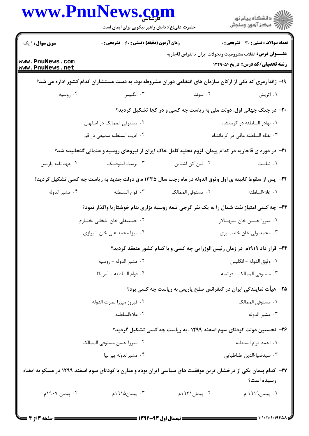|                                    | حضرت علی(ع): دانش راهبر نیکویی برای ایمان است      |                                                                                                                 | ڪ دانشڪاه پيام نور<br>ر∕ = مرڪز آزمون وسنڊش  |
|------------------------------------|----------------------------------------------------|-----------------------------------------------------------------------------------------------------------------|----------------------------------------------|
| <b>سری سوال :</b> ۱ یک             | <b>زمان آزمون (دقیقه) : تستی : 60 ٪ تشریحی : 0</b> |                                                                                                                 | <b>تعداد سوالات : تستی : 30 ٪ تشریحی : 0</b> |
| www.PnuNews.com<br>www.PnuNews.net |                                                    | <b>عنـــوان درس:</b> انقلاب مشروطيت وتحولات ايران تاانقراض قاجاريه                                              | <b>رشته تحصیلی/کد درس:</b> تاریخ240.1229     |
|                                    |                                                    | ۱۹- ژاندارمری که یکی از ارکان سازمان های انتظامی دوران مشروطه بود، به دست مستشاران کدام کشور اداره می شد؟       |                                              |
| ۰۴ روسیه                           | ۰۳ انگلیس                                          | ۰۲ سوئد                                                                                                         | ۰۱ اتریش                                     |
|                                    |                                                    | <b>۲۰</b> - در جنگ جهانی اول، دولت ملی به ریاست چه کسی و در کجا تشکیل گردید؟                                    |                                              |
|                                    | ۲. مستوفى الممالک در اصفهان                        |                                                                                                                 | ٠١. بهادر السلطنه در كرمانشاه                |
|                                    | ۴. اديب السلطنه سميعي در قم                        |                                                                                                                 | ٠٣ نظام السلطنه مافى در كرمانشاه             |
|                                    |                                                    | <b>۲۱</b> - در دوره ی قاجاریه در کدام پیمان، لزوم تخلیه کامل خاک ایران از نیروهای روسیه و عثمانی گنجانیده شد؟   |                                              |
| ۰۴ عهد نامه پاریس                  | ۰۳ برست لیتوفسک                                    | ۰۲ فین کن اشتاین                                                                                                | ٠١ تيلست                                     |
|                                    |                                                    | ۲۲- پس از سقوط کابینه ی اول وثوق الدوله در ماه رجب سال ۱۳۳۵ ه.ق دولت جدید به ریاست چه کسی تشکیل گردید؟          |                                              |
| ۰۴ مشير الدوله                     | ٠٣ قوام السلطنه                                    | ٢. مستوفى الممالك                                                                                               | ٠١ علاءالسلطنه                               |
|                                    |                                                    | ۲۳- چه کسی امتیاز نفت شمال را به یک نفر گرجی تبعه روسیه تزاری بنام خوشتاریا واگذار نمود؟                        |                                              |
|                                    | ۰۲ حسینقلی خان ایلخانی بختیاری                     |                                                                                                                 | ٠١ ميرزا حسين خان سپهسالار                   |
|                                    | ۰۴ میزا محمد علی خان شیرازی                        |                                                                                                                 | ۰۳ محمد ولي خان خلعت بري                     |
|                                    |                                                    | ۲۴- قرار داد ۱۹۱۹م ًدر زمان رئیس الوزرایی چه کسی و با کدام کشور منعقد گردید؟                                    |                                              |
|                                    | ۰۲ مشير الدوله - روسيه                             |                                                                                                                 | ٠١ وثوق الدوله - انگليس                      |
|                                    | ۰۴ قوام السلطنه - آمريكا                           |                                                                                                                 | ٠٣ مستوفى الممالك - فرانسه                   |
|                                    |                                                    | ۲۵- هیأت نمایندگی ایران در کنفرانس صلح پاریس به ریاست چه کسی بود؟                                               |                                              |
|                                    | ۰۲ فيروز ميرزا نصرت الدوله                         |                                                                                                                 | ٠١. مستوفى الممالك                           |
|                                    | ۰۴ علاءالسلطنه                                     |                                                                                                                 | ۰۳ مشير الدوله                               |
|                                    |                                                    | ۲۶- نخستین دولت کودتای سوم اسفند ۱۲۹۹ ، به ریاست چه کسی تشکیل گردید؟                                            |                                              |
|                                    | ٠٢ ميرزا حسن مستوفى الممالك                        |                                                                                                                 | ٠١. احمد قوام السلطنه                        |
|                                    | ۰۴ مشيرالدوله يير نيا                              |                                                                                                                 | ٠٣ سيدضياءالدين طباطبايي                     |
|                                    |                                                    | ۲۷– کدام پیمان یکی از درخشان ترین موفقیت های سیاسی ایران بوده و مقارن با کودتای سوم اسفند ۱۲۹۹ در مسکو به امضاء |                                              |
|                                    |                                                    |                                                                                                                 | رسيده است؟                                   |
| ۰۴ پیمان ۱۹۰۷م                     | ۰۳ پیمان۱۹۱۵م                                      | ۰۲ پیمان۱۹۲۱م                                                                                                   | ۰۱ پیمان۱۹۱۹ م                               |